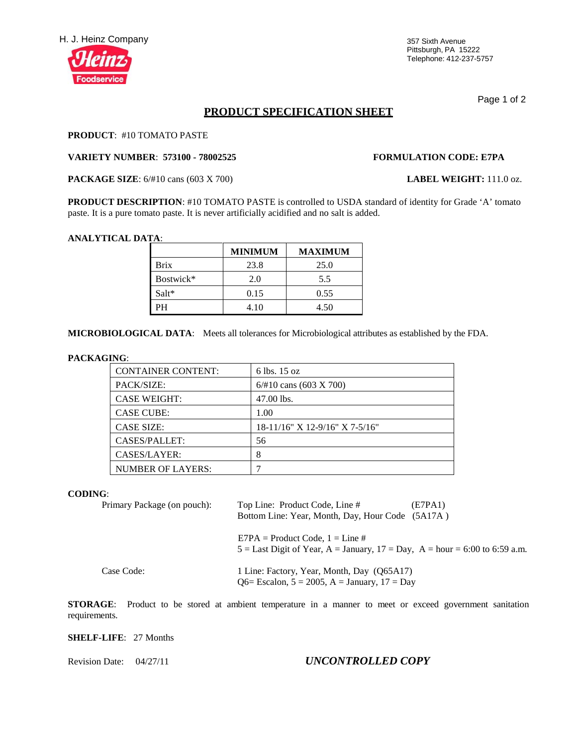

Pittsburgh, PA 15222 Telephone: 412-237-5757

Page 1 of 2

# **PRODUCT SPECIFICATION SHEET**

### **PRODUCT**: #10 TOMATO PASTE

#### **VARIETY NUMBER**: **573100 - 78002525 FORMULATION CODE: E7PA**

**PACKAGE SIZE**: 6/#10 cans (603 X 700) **LABEL WEIGHT:** 111.0 oz.

**PRODUCT DESCRIPTION**: #10 TOMATO PASTE is controlled to USDA standard of identity for Grade 'A' tomato paste. It is a pure tomato paste. It is never artificially acidified and no salt is added.

#### **ANALYTICAL DATA**:

|           | <b>MINIMUM</b> | <b>MAXIMUM</b> |
|-----------|----------------|----------------|
| Brix      | 23.8           | 25.0           |
| Bostwick* | 2.0            | 5.5            |
| Salt*     | 0.15           | 0.55           |
| PН        | 4.10           | 4.50           |

**MICROBIOLOGICAL DATA**: Meets all tolerances for Microbiological attributes as established by the FDA.

#### **PACKAGING**:

| <b>CONTAINER CONTENT:</b> | 6 lbs. 15 oz                   |
|---------------------------|--------------------------------|
| PACK/SIZE:                | $6/#10$ cans (603 X 700)       |
| <b>CASE WEIGHT:</b>       | 47.00 lbs.                     |
| <b>CASE CUBE:</b>         | 1.00                           |
| <b>CASE SIZE:</b>         | 18-11/16" X 12-9/16" X 7-5/16" |
| CASES/PALLET:             | 56                             |
| CASES/LAYER:              | 8                              |
| <b>NUMBER OF LAYERS:</b>  |                                |

### **CODING**:

| Primary Package (on pouch): | Top Line: Product Code, Line #<br>(E7PA1)<br>Bottom Line: Year, Month, Day, Hour Code (5A17A)                        |
|-----------------------------|----------------------------------------------------------------------------------------------------------------------|
|                             | $E7PA = Product Code, 1 = Line #$<br>$5 =$ Last Digit of Year, A = January, $17 =$ Day, A = hour = 6:00 to 6:59 a.m. |
| Case Code:                  | 1 Line: Factory, Year, Month, Day (Q65A17)<br>Q6= Escalon, $5 = 2005$ , A = January, $17 = Day$                      |

**STORAGE:** Product to be stored at ambient temperature in a manner to meet or exceed government sanitation requirements.

### **SHELF-LIFE**: 27 Months

# Revision Date: 04/27/11 *UNCONTROLLED COPY*